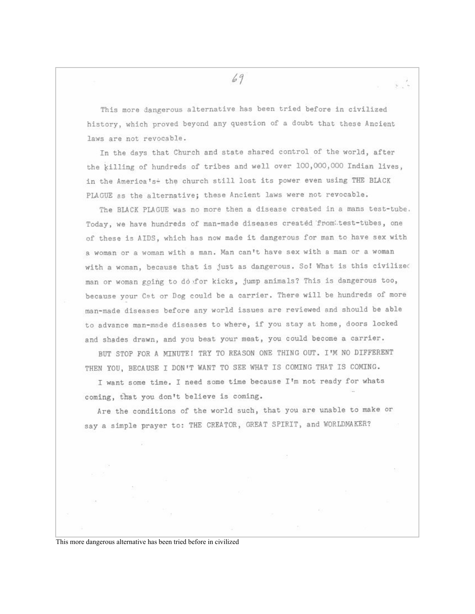69

This more dangerous alternative has been tried before in civilized history, which proved beyond any question of a doubt that these Ancient laws are not revocable.

In the days that Church and state shared control of the world, after the killing of hundreds of tribes and well over 100,000,000 Indian lives, in the America's + the church still lost its power even using THE BLACK PLAGUE as the alternative; these Ancient laws were not revocable.

The BLACK PLAGUE was no more then a disease created in a mans test-tube. Today, we have hundreds of man-made diseases created from test-tubes, one of these is AIDS, which has now made it dangerous for man to have sex with a woman or a woman with a man. Man can't have sex with a man or a woman with a woman, because that is just as dangerous. So! What is this civilized man or woman going to do for kicks, jump animals? This is dangerous too, because your Cat or Dog could be a carrier. There will be hundreds of more man-made diseases before any world issues are reviewed and should be able to advance man-made diseases to where, if you stay at home, doors locked and shades drawn, and you beat your meat, you could become a carrier.

BUT STOP FOR A MINUTE! TRY TO REASON ONE THING OUT. I'M NO DIFFERENT THEN YOU, BECAUSE I DON'T WANT TO SEE WHAT IS COMING THAT IS COMING.

I want some time. I need some time because I'm not ready for whats coming, that you don't believe is coming.

Are the conditions of the world such, that you are unable to make or say a simple prayer to: THE CREATOR, GREAT SPIRIT, and WORLDMAKER?

This more dangerous alternative has been tried before in civilized

 $\frac{1}{\sqrt{2}}$  ,  $\frac{1}{\sqrt{2}}$